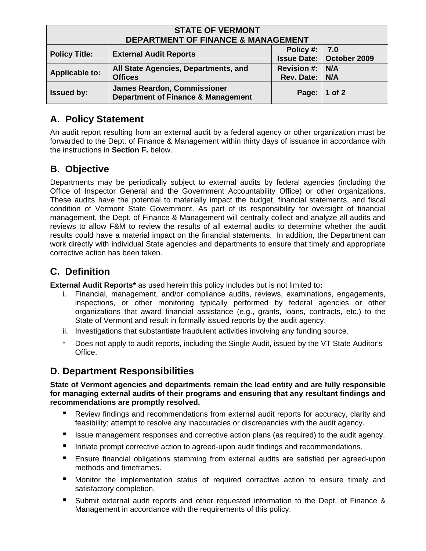| <b>STATE OF VERMONT</b><br><b>DEPARTMENT OF FINANCE &amp; MANAGEMENT</b> |                                                                                     |                    |                                   |  |
|--------------------------------------------------------------------------|-------------------------------------------------------------------------------------|--------------------|-----------------------------------|--|
| <b>Policy Title:</b>                                                     | <b>External Audit Reports</b>                                                       | Policy #:          | 7.0                               |  |
|                                                                          |                                                                                     |                    | <b>Issue Date:   October 2009</b> |  |
| <b>Applicable to:</b>                                                    | All State Agencies, Departments, and                                                | <b>Revision #:</b> | N/A                               |  |
|                                                                          | <b>Offices</b>                                                                      | <b>Rev. Date:</b>  | N/A                               |  |
| <b>Issued by:</b>                                                        | <b>James Reardon, Commissioner</b><br><b>Department of Finance &amp; Management</b> | Page:   1 of 2     |                                   |  |

## **A. Policy Statement**

An audit report resulting from an external audit by a federal agency or other organization must be forwarded to the Dept. of Finance & Management within thirty days of issuance in accordance with the instructions in **Section F.** below.

#### **B. Objective**

Departments may be periodically subject to external audits by federal agencies (including the Office of Inspector General and the Government Accountability Office) or other organizations. These audits have the potential to materially impact the budget, financial statements, and fiscal condition of Vermont State Government. As part of its responsibility for oversight of financial management, the Dept. of Finance & Management will centrally collect and analyze all audits and reviews to allow F&M to review the results of all external audits to determine whether the audit results could have a material impact on the financial statements. In addition, the Department can work directly with individual State agencies and departments to ensure that timely and appropriate corrective action has been taken.

# **C. Definition**

**External Audit Reports\*** as used herein this policy includes but is not limited to**:** 

- i. Financial, management, and/or compliance audits, reviews, examinations, engagements, inspections, or other monitoring typically performed by federal agencies or other organizations that award financial assistance (e.g., grants, loans, contracts, etc.) to the State of Vermont and result in formally issued reports by the audit agency.
- ii. Investigations that substantiate fraudulent activities involving any funding source.
- \* Does not apply to audit reports, including the Single Audit, issued by the VT State Auditor's Office.

#### **D. Department Responsibilities**

**State of Vermont agencies and departments remain the lead entity and are fully responsible for managing external audits of their programs and ensuring that any resultant findings and recommendations are promptly resolved.** 

- Review findings and recommendations from external audit reports for accuracy, clarity and feasibility; attempt to resolve any inaccuracies or discrepancies with the audit agency.
- Issue management responses and corrective action plans (as required) to the audit agency.
- **■** Initiate prompt corrective action to agreed-upon audit findings and recommendations.
- Ensure financial obligations stemming from external audits are satisfied per agreed-upon methods and timeframes.
- Monitor the implementation status of required corrective action to ensure timely and satisfactory completion.
- Submit external audit reports and other requested information to the Dept. of Finance & Management in accordance with the requirements of this policy.